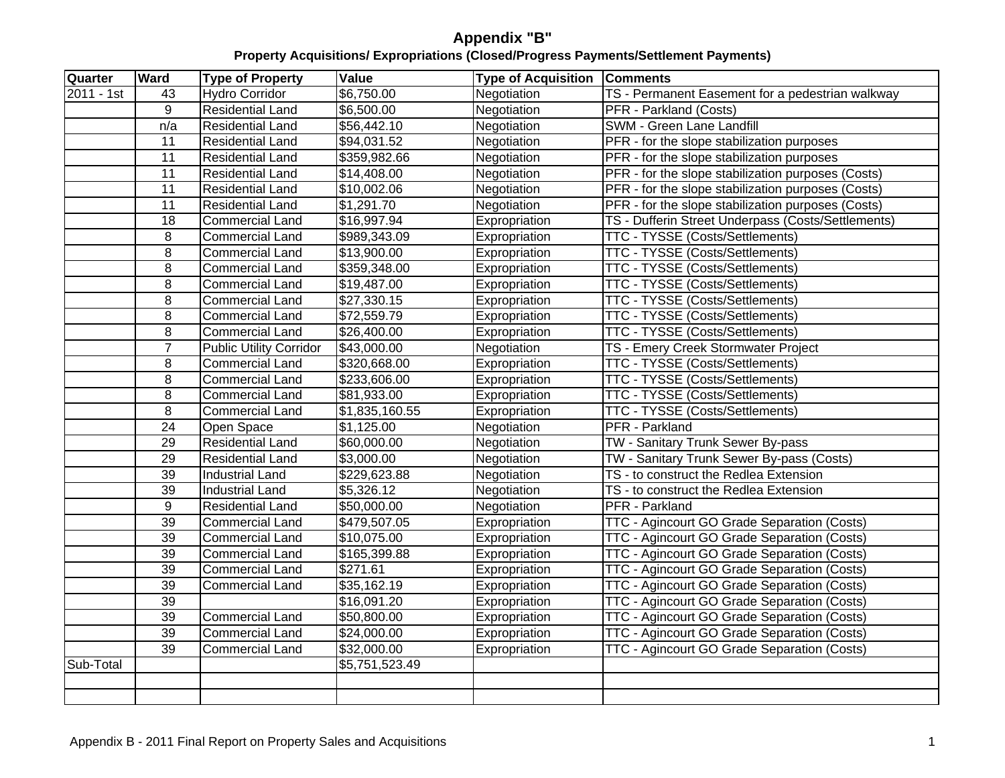| Quarter    | <b>Ward</b> | Type of Property               | Value          | <b>Type of Acquisition Comments</b> |                                                           |
|------------|-------------|--------------------------------|----------------|-------------------------------------|-----------------------------------------------------------|
| 2011 - 1st | 43          | <b>Hydro Corridor</b>          | \$6,750.00     | Negotiation                         | TS - Permanent Easement for a pedestrian walkway          |
|            |             | <b>Residential Land</b>        | \$6,500.00     | Negotiation                         | <b>PFR</b> - Parkland (Costs)                             |
|            | n/a         | <b>Residential Land</b>        | \$56,442.10    | Negotiation                         | SWM - Green Lane Landfill                                 |
|            | 11          | <b>Residential Land</b>        | \$94,031.52    | Negotiation                         | <b>PFR</b> - for the slope stabilization purposes         |
|            | 11          | <b>Residential Land</b>        | \$359,982.66   | Negotiation                         | PFR - for the slope stabilization purposes                |
|            | - 11        | <b>Residential Land</b>        | \$14,408.00    | Negotiation                         | <b>PFR</b> - for the slope stabilization purposes (Costs) |
|            | 11          | <b>Residential Land</b>        | \$10,002.06    | Negotiation                         | <b>PFR</b> - for the slope stabilization purposes (Costs) |
|            | - 11        | <b>Residential Land</b>        | \$1,291.70     | Negotiation                         | <b>PFR</b> - for the slope stabilization purposes (Costs) |
|            | 18          | <b>Commercial Land</b>         | \$16,997.94    | Expropriation                       | TS - Dufferin Street Underpass (Costs/Settlements)        |
|            |             | <b>Commercial Land</b>         | \$989,343.09   | Expropriation                       | <b>TTC - TYSSE (Costs/Settlements)</b>                    |
|            |             | <b>Commercial Land</b>         | \$13,900.00    | Expropriation                       | TTC - TYSSE (Costs/Settlements)                           |
|            |             | <b>Commercial Land</b>         | \$359,348.00   | Expropriation                       | <b>TTC - TYSSE (Costs/Settlements)</b>                    |
|            |             | <b>Commercial Land</b>         | \$19,487.00    | Expropriation                       | TTC - TYSSE (Costs/Settlements)                           |
|            |             | <b>Commercial Land</b>         | \$27,330.15    | Expropriation                       | TTC - TYSSE (Costs/Settlements)                           |
|            |             | <b>Commercial Land</b>         | \$72,559.79    | Expropriation                       | TTC - TYSSE (Costs/Settlements)                           |
|            |             | <b>Commercial Land</b>         | \$26,400.00    | Expropriation                       | TTC - TYSSE (Costs/Settlements)                           |
|            |             | <b>Public Utility Corridor</b> | \$43,000.00    | Negotiation                         | TS - Emery Creek Stormwater Project                       |
|            |             | Commercial Land                | \$320,668.00   | Expropriation                       | <b>TTC - TYSSE (Costs/Settlements)</b>                    |
|            |             | <b>Commercial Land</b>         | \$233,606.00   | Expropriation                       | <b>TTC - TYSSE (Costs/Settlements)</b>                    |
|            |             | <b>Commercial Land</b>         | \$81,933.00    | Expropriation                       | <b>TTC - TYSSE (Costs/Settlements)</b>                    |
|            |             | <b>Commercial Land</b>         | \$1,835,160.55 | Expropriation                       | <b>TTC - TYSSE (Costs/Settlements)</b>                    |
|            | 24          | Open Space                     | \$1,125.00     | Negotiation                         | <b>PFR</b> - Parkland                                     |
|            | 29          | <b>Residential Land</b>        | \$60,000.00    | Negotiation                         | TW - Sanitary Trunk Sewer By-pass                         |
|            | 29          | <b>Residential Land</b>        | \$3,000.00     | Negotiation                         | TW - Sanitary Trunk Sewer By-pass (Costs)                 |
|            | 39          | <b>Industrial Land</b>         | \$229,623.88   | Negotiation                         | TS - to construct the Redlea Extension                    |
|            | 39          | Industrial Land                | \$5,326.12     | Negotiation                         | TS - to construct the Redlea Extension                    |
|            |             | Residential Land               | \$50,000.00    | Negotiation                         | <b>PFR</b> - Parkland                                     |
|            | 39          | <b>Commercial Land</b>         | \$479,507.05   | Expropriation                       | TTC - Agincourt GO Grade Separation (Costs)               |
|            | 39          | <b>Commercial Land</b>         | \$10,075.00    | Expropriation                       | TTC - Agincourt GO Grade Separation (Costs)               |
|            | 39          | <b>Commercial Land</b>         | \$165,399.88   | Expropriation                       | TTC - Agincourt GO Grade Separation (Costs)               |
|            | 39          | <b>Commercial Land</b>         | \$271.61       | Expropriation                       | TTC - Agincourt GO Grade Separation (Costs)               |
|            | 39          | Commercial Land                | \$35,162.19    | Expropriation                       | TTC - Agincourt GO Grade Separation (Costs)               |
|            | 39          |                                | \$16,091.20    | Expropriation                       | TTC - Agincourt GO Grade Separation (Costs)               |
|            | 39          | <b>Commercial Land</b>         | \$50,800.00    | Expropriation                       | TTC - Agincourt GO Grade Separation (Costs)               |
|            | -39         | <b>Commercial Land</b>         | \$24,000.00    | Expropriation                       | TTC - Agincourt GO Grade Separation (Costs)               |
|            |             |                                | \$32,000.00    |                                     |                                                           |
|            | -39         | <b>Commercial Land</b>         |                | Expropriation                       | TTC - Agincourt GO Grade Separation (Costs)               |
| Sub-Total  |             |                                | \$5,751,523.49 |                                     |                                                           |
|            |             |                                |                |                                     |                                                           |
|            |             |                                |                |                                     |                                                           |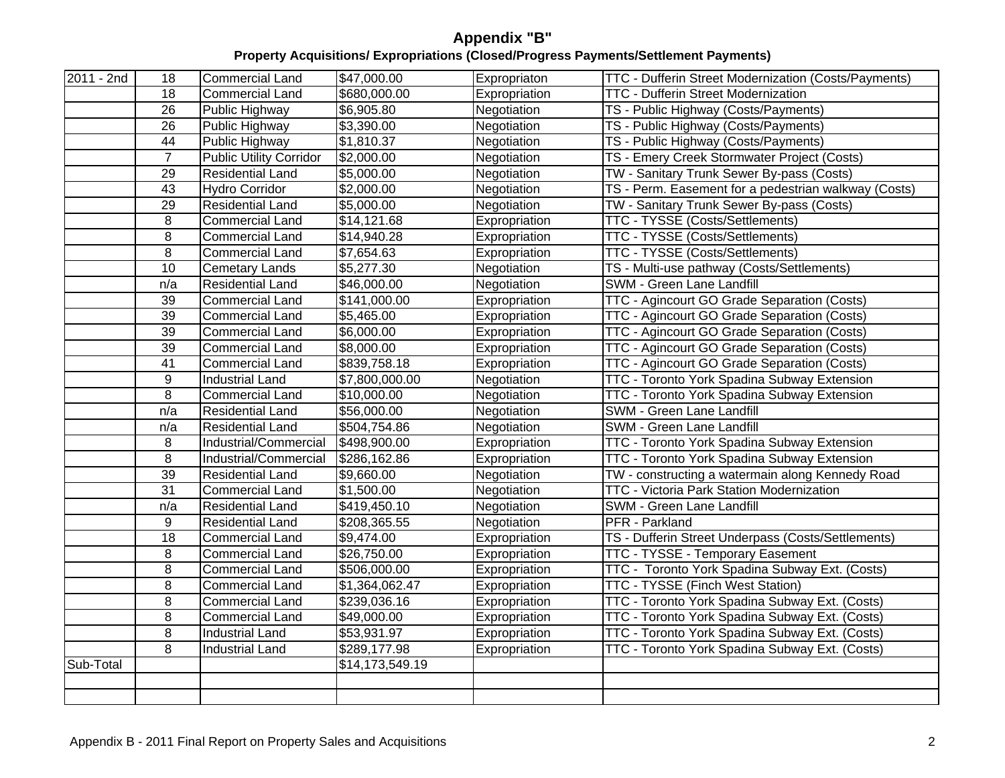| $2011 - 2nd$ | 18  | Commercial Land                | \$47,000.00     | Expropriaton  | TTC - Dufferin Street Modernization (Costs/Payments) |
|--------------|-----|--------------------------------|-----------------|---------------|------------------------------------------------------|
|              | 18  | Commercial Land                | \$680,000.00    | Expropriation | <b>TTC - Dufferin Street Modernization</b>           |
|              | 26  | Public Highway                 | \$6,905.80      | Negotiation   | TS - Public Highway (Costs/Payments)                 |
|              | 26  | Public Highway                 | \$3.390.00      | Negotiation   | TS - Public Highway (Costs/Payments)                 |
|              | 44  | Public Highway                 | \$1,810.37      | Negotiation   | TS - Public Highway (Costs/Payments)                 |
|              |     | <b>Public Utility Corridor</b> | \$2,000.00      | Negotiation   | TS - Emery Creek Stormwater Project (Costs)          |
|              | -29 | Residential Land               | \$5,000.00      | Negotiation   | TW - Sanitary Trunk Sewer By-pass (Costs)            |
|              | 43  | <b>Hydro Corridor</b>          | \$2,000.00      | Negotiation   | TS - Perm. Easement for a pedestrian walkway (Costs) |
|              | 29  | Residential Land               | \$5,000.00      | Negotiation   | TW - Sanitary Trunk Sewer By-pass (Costs)            |
|              |     | Commercial Land                | \$14,121.68     | Expropriation | TTC - TYSSE (Costs/Settlements)                      |
|              |     | Commercial Land                | \$14,940.28     | Expropriation | <b>TTC - TYSSE (Costs/Settlements)</b>               |
|              |     | <b>Commercial Land</b>         | \$7,654.63      | Expropriation | <b>TTC - TYSSE (Costs/Settlements)</b>               |
|              | 10  | Cemetary Lands                 | \$5,277.30      | Negotiation   | TS - Multi-use pathway (Costs/Settlements)           |
|              | n/a | Residential Land               | \$46,000.00     | Negotiation   | SWM - Green Lane Landfill                            |
|              | -39 | Commercial Land                | \$141,000.00    | Expropriation | TTC - Agincourt GO Grade Separation (Costs)          |
|              | 39  | Commercial Land                | \$5,465.00      | Expropriation | TTC - Agincourt GO Grade Separation (Costs)          |
|              | 39  | Commercial Land                | \$6,000.00      | Expropriation | TTC - Agincourt GO Grade Separation (Costs)          |
|              | -39 | Commercial Land                | \$8,000.00      | Expropriation | TTC - Agincourt GO Grade Separation (Costs)          |
|              | -41 | Commercial Land                | \$839,758.18    | Expropriation | TTC - Agincourt GO Grade Separation (Costs)          |
|              | - Q | Industrial Land                | \$7,800,000.00  | Negotiation   | TTC - Toronto York Spadina Subway Extension          |
|              |     | Commercial Land                | \$10,000.00     | Negotiation   | TTC - Toronto York Spadina Subway Extension          |
|              | n/a | Residential Land               | \$56,000.00     | Negotiation   | SWM - Green Lane Landfill                            |
|              | n/a | Residential Land               | \$504,754.86    | Negotiation   | SWM - Green Lane Landfill                            |
|              |     | ndustrial/Commerci             | \$498,900.00    | Expropriation | TTC - Toronto York Spadina Subway Extension          |
|              |     | Industrial/Commercia           | \$286,162.86    | Expropriation | TTC - Toronto York Spadina Subway Extension          |
|              | -39 | <b>Residential Land</b>        | \$9,660.00      | Negotiation   | TW - constructing a watermain along Kennedy Road     |
|              | -31 | Commercial Land                | \$1,500.00      | Negotiation   | <b>TTC - Victoria Park Station Modernization</b>     |
|              | n/a | Residential Land               | \$419,450.10    | Negotiation   | SWM - Green Lane Landfill                            |
|              | - Q | Residential Land               | \$208,365.55    | Negotiation   | PFR - Parkland                                       |
|              | 18  | Commercial Land                | \$9,474.00      | Expropriation | TS - Dufferin Street Underpass (Costs/Settlements)   |
|              |     | Commercial Land                | \$26,750.00     | Expropriation | <b>TTC - TYSSE - Temporary Easement</b>              |
|              |     | Commercial Land                | \$506,000.00    | Expropriation | TTC - Toronto York Spadina Subway Ext. (Costs)       |
|              |     | Commercial Land                | \$1,364,062.47  | Expropriation | <b>TTC - TYSSE (Finch West Station)</b>              |
|              |     | Commercial Land                | \$239,036.16    | Expropriation | TTC - Toronto York Spadina Subway Ext. (Costs)       |
|              |     | Commercial Land                | \$49,000.00     | Expropriation | TTC - Toronto York Spadina Subway Ext. (Costs)       |
|              |     | Industrial Land                | \$53,931.97     | Expropriation | TTC - Toronto York Spadina Subway Ext. (Costs)       |
|              |     | Industrial Land                | \$289,177.98    | Expropriation | TTC - Toronto York Spadina Subway Ext. (Costs)       |
| Sub-Total    |     |                                | \$14,173,549.19 |               |                                                      |
|              |     |                                |                 |               |                                                      |
|              |     |                                |                 |               |                                                      |
|              |     |                                |                 |               |                                                      |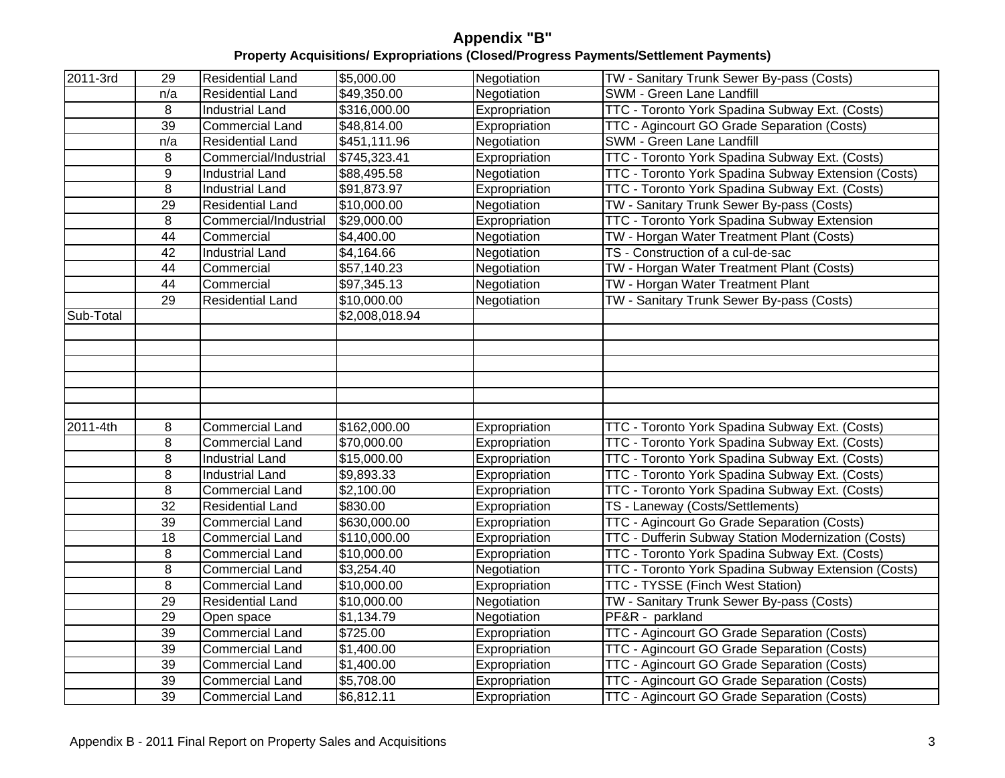| 2011-3rd  | 29  | <b>Residential Land</b> | \$5,000.00             | Negotiation   | TW - Sanitary Trunk Sewer By-pass (Costs)                  |
|-----------|-----|-------------------------|------------------------|---------------|------------------------------------------------------------|
|           | n/a | <b>Residential Land</b> | \$49,350.00            | Negotiation   | <b>SWM - Green Lane Landfill</b>                           |
|           | - 8 | Industrial Land         | \$316,000.00           | Expropriation | TTC - Toronto York Spadina Subway Ext. (Costs)             |
|           | 39  | <b>Commercial Land</b>  | \$48,814.00            | Expropriation | <b>TTC - Agincourt GO Grade Separation (Costs)</b>         |
|           | n/a | Residential Land        | \$451,111.96           | Negotiation   | <b>SWM - Green Lane Landfill</b>                           |
|           |     | Commercial/Industr      | \$745,323.41           | Expropriation | <b>TTC</b> - Toronto York Spadina Subway Ext. (Costs)      |
|           |     | <b>Industrial Land</b>  | \$88,495.58            | Negotiation   | TTC - Toronto York Spadina Subway Extension (Costs)        |
|           |     | <b>Industrial Land</b>  | \$91,873.97            | Expropriation | TTC - Toronto York Spadina Subway Ext. (Costs)             |
|           | 29  | Residential Land        | \$10,000.00            | Negotiation   | TW - Sanitary Trunk Sewer By-pass (Costs)                  |
|           |     | Commercial/Industria    | \$29,000.00            | Expropriation | <b>TTC - Toronto York Spadina Subway Extension</b>         |
|           | 44  | Commercial              | \$4,400.00             | Negotiation   | TW - Horgan Water Treatment Plant (Costs)                  |
|           | 42  | <b>Industrial Land</b>  | \$4,164.66             | Negotiation   | TS - Construction of a cul-de-sac                          |
|           | 44  | Commercial              | $\sqrt{$57,140.23}$    | Negotiation   | <b>TW</b> - Horgan Water Treatment Plant (Costs)           |
|           | 44  | Commercial              | \$97,345.13            | Negotiation   | TW - Horgan Water Treatment Plant                          |
|           | 29  | <b>Residential Land</b> | \$10,000.00            | Negotiation   | TW - Sanitary Trunk Sewer By-pass (Costs)                  |
| Sub-Total |     |                         | $\sqrt{$2,008,018.94}$ |               |                                                            |
|           |     |                         |                        |               |                                                            |
|           |     |                         |                        |               |                                                            |
|           |     |                         |                        |               |                                                            |
|           |     |                         |                        |               |                                                            |
|           |     |                         |                        |               |                                                            |
|           |     |                         |                        |               |                                                            |
| 2011-4th  |     | Commercial Land         | \$162,000.00           | Expropriation | TTC - Toronto York Spadina Subway Ext. (Costs)             |
|           | - 8 | <b>Commercial Land</b>  | \$70,000.00            | Expropriation | <b>TTC</b> - Toronto York Spadina Subway Ext. (Costs)      |
|           | - 8 | Industrial Land         | \$15,000.00            | Expropriation | <b>TTC</b> - Toronto York Spadina Subway Ext. (Costs)      |
|           |     | Industrial Land         | \$9,893.33             | Expropriation | <b>TTC - Toronto York Spadina Subway Ext. (Costs)</b>      |
|           | -8  | <b>Commercial Land</b>  | \$2,100.00             | Expropriation | <b>TTC - Toronto York Spadina Subway Ext. (Costs)</b>      |
|           | 32  | Residential Land        | \$830.00               | Expropriation | TS - Laneway (Costs/Settlements)                           |
|           | 39  | <b>Commercial Land</b>  | \$630,000.00           | Expropriation | TTC - Agincourt Go Grade Separation (Costs)                |
|           | 18  | Commercial Land         | \$110,000.00           | Expropriation | <b>TTC - Dufferin Subway Station Modernization (Costs)</b> |
|           | - 8 | <b>Commercial Land</b>  | \$10,000.00            | Expropriation | <b>TTC</b> - Toronto York Spadina Subway Ext. (Costs)      |
|           | -8  | <b>Commercial Land</b>  | \$3,254.40             | Negotiation   | TTC - Toronto York Spadina Subway Extension (Costs)        |
|           | - 8 | <b>Commercial Land</b>  | \$10,000.00            | Expropriation | <b>TTC - TYSSE (Finch West Station)</b>                    |
|           | 29  | <b>Residential Land</b> | \$10,000.00            | Negotiation   | TW - Sanitary Trunk Sewer By-pass (Costs)                  |
|           | 29  | Open space              | \$1,134.79             | Negotiation   | PF&R - parkland                                            |
|           | 39  | <b>Commercial Land</b>  | \$725.00               | Expropriation | TTC - Agincourt GO Grade Separation (Costs)                |
|           |     |                         | \$1,400.00             |               |                                                            |
|           | 39  | Commercial Land         |                        | Expropriation | TTC - Agincourt GO Grade Separation (Costs)                |
|           | 39  | <b>Commercial Land</b>  | \$1,400.00             | Expropriation | TTC - Agincourt GO Grade Separation (Costs)                |
|           | -39 | Commercial Land         | \$5,708.00             | Expropriation | TTC - Agincourt GO Grade Separation (Costs)                |
|           | 39  | Commercial Land         | \$6,812.11             | Expropriation | <b>TTC</b> - Agincourt GO Grade Separation (Costs)         |